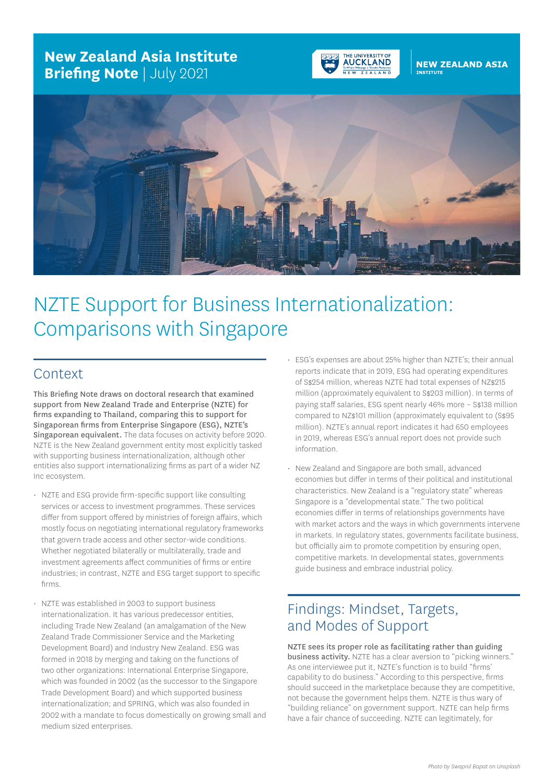## **New Zealand Asia Institute Briefing Note** | July 2021



# **NEW ZEALAND ASIA**



# NZTE Support for Business Internationalization: Comparisons with Singapore

#### Context

This Briefing Note draws on doctoral research that examined support from New Zealand Trade and Enterprise (NZTE) for firms expanding to Thailand, comparing this to support for Singaporean firms from Enterprise Singapore (ESG), NZTE's Singaporean equivalent. The data focuses on activity before 2020. NZTE is the New Zealand government entity most explicitly tasked with supporting business internationalization, although other entities also support internationalizing firms as part of a wider NZ Inc ecosystem.

- NZTE and ESG provide firm-specific support like consulting services or access to investment programmes. These services differ from support offered by ministries of foreign affairs, which mostly focus on negotiating international regulatory frameworks that govern trade access and other sector-wide conditions. Whether negotiated bilaterally or multilaterally, trade and investment agreements affect communities of firms or entire industries; in contrast, NZTE and ESG target support to specific firms.
- NZTE was established in 2003 to support business internationalization. It has various predecessor entities, including Trade New Zealand (an amalgamation of the New Zealand Trade Commissioner Service and the Marketing Development Board) and Industry New Zealand. ESG was formed in 2018 by merging and taking on the functions of two other organizations: International Enterprise Singapore, which was founded in 2002 (as the successor to the Singapore Trade Development Board) and which supported business internationalization; and SPRING, which was also founded in 2002 with a mandate to focus domestically on growing small and medium sized enterprises.
- ESG's expenses are about 25% higher than NZTE's; their annual reports indicate that in 2019, ESG had operating expenditures of S\$254 million, whereas NZTE had total expenses of NZ\$215 million (approximately equivalent to S\$203 million). In terms of paying staff salaries, ESG spent nearly 46% more – S\$138 million compared to NZ\$101 million (approximately equivalent to (S\$95 million). NZTE's annual report indicates it had 650 employees in 2019, whereas ESG's annual report does not provide such information.
- New Zealand and Singapore are both small, advanced economies but differ in terms of their political and institutional characteristics. New Zealand is a "regulatory state" whereas Singapore is a "developmental state." The two political economies differ in terms of relationships governments have with market actors and the ways in which governments intervene in markets. In regulatory states, governments facilitate business, but officially aim to promote competition by ensuring open, competitive markets. In developmental states, governments guide business and embrace industrial policy.

## Findings: Mindset, Targets, and Modes of Support

NZTE sees its proper role as facilitating rather than guiding business activity. NZTE has a clear aversion to "picking winners." As one interviewee put it, NZTE's function is to build "firms' capability to do business." According to this perspective, firms should succeed in the marketplace because they are competitive, not because the government helps them. NZTE is thus wary of "building reliance" on government support. NZTE can help firms have a fair chance of succeeding. NZTE can legitimately, for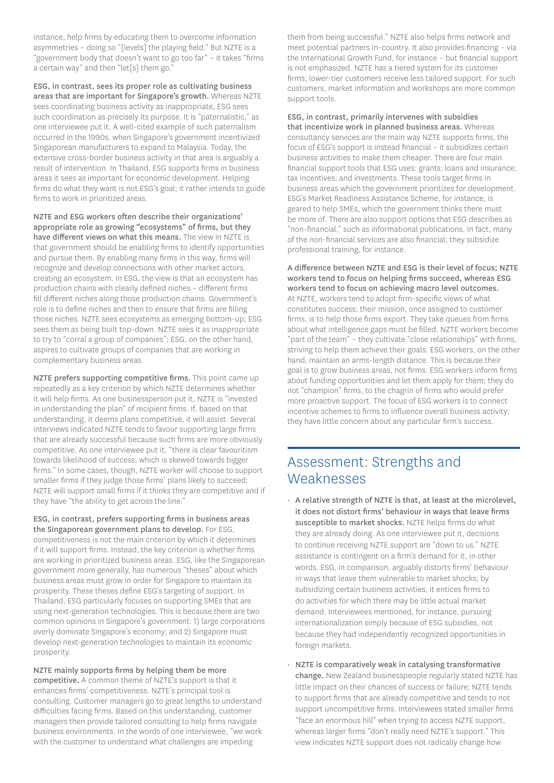instance, help firms by educating them to overcome information asymmetries – doing so "[levels] the playing field." But NZTE is a "government body that doesn't want to go too far" – it takes "firms a certain way" and then "let[s] them go."

ESG, in contrast, sees its proper role as cultivating business areas that are important for Singapore's growth. Whereas NZTE sees coordinating business activity as inappropriate, ESG sees such coordination as precisely its purpose. It is "paternalistic," as one interviewee put it. A well-cited example of such paternalism occurred in the 1990s, when Singapore's government incentivized Singaporean manufacturers to expand to Malaysia. Today, the extensive cross-border business activity in that area is arguably a result of intervention. In Thailand, ESG supports firms in business areas it sees as important for economic development. Helping firms do what they want is not ESG's goal; it rather intends to guide firms to work in prioritized areas.

NZTE and ESG workers often describe their organizations' appropriate role as growing "ecosystems" of firms, but they have different views on what this means. The view in NZTE is that government should be enabling firms to identify opportunities and pursue them. By enabling many firms in this way, firms will recognize and develop connections with other market actors, creating an ecosystem. In ESG, the view is that an ecosystem has production chains with clearly defined niches – different firms fill different niches along those production chains. Government's role is to define niches and then to ensure that firms are filling those niches. NZTE sees ecosystems as emerging bottom-up; ESG sees them as being built top-down. NZTE sees it as inappropriate to try to "corral a group of companies"; ESG, on the other hand, aspires to cultivate groups of companies that are working in complementary business areas.

NZTE prefers supporting competitive firms. This point came up repeatedly as a key criterion by which NZTE determines whether it will help firms. As one businessperson put it, NZTE is "invested in understanding the plan" of recipient firms. If, based on that understanding, it deems plans competitive, it will assist. Several interviews indicated NZTE tends to favour supporting large firms that are already successful because such firms are more obviously competitive. As one interviewee put it, "there is clear favouritism towards likelihood of success, which is skewed towards bigger firms." In some cases, though, NZTE worker will choose to support smaller firms if they judge those firms' plans likely to succeed; NZTE will support small firms if it thinks they are competitive and if they have "the ability to get across the line."

ESG, in contrast, prefers supporting firms in business areas the Singaporean government plans to develop. For ESG, competitiveness is not the main criterion by which it determines if it will support firms. Instead, the key criterion is whether firms are working in prioritized business areas. ESG, like the Singaporean government more generally, has numerous "theses" about which business areas must grow in order for Singapore to maintain its prosperity. These theses define ESG's targeting of support. In Thailand, ESG particularly focuses on supporting SMEs that are using next-generation technologies. This is because there are two common opinions in Singapore's government: 1) large corporations overly dominate Singapore's economy; and 2) Singapore must develop next-generation technologies to maintain its economic prosperity.

NZTE mainly supports firms by helping them be more competitive. A common theme of NZTE's support is that it enhances firms' competitiveness. NZTE's principal tool is consulting. Customer managers go to great lengths to understand difficulties facing firms. Based on this understanding, customer managers then provide tailored consulting to help firms navigate business environments. In the words of one interviewee, "we work with the customer to understand what challenges are impeding

them from being successful." NZTE also helps firms network and meet potential partners in-country. It also provides financing – via the International Growth Fund, for instance – but financial support is not emphasized. NZTE has a tiered system for its customer firms; lower-tier customers receive less tailored support. For such customers, market information and workshops are more common support tools.

ESG, in contrast, primarily intervenes with subsidies that incentivize work in planned business areas. Whereas consultancy services are the main way NZTE supports firms, the focus of ESG's support is instead financial – it subsidizes certain business activities to make them cheaper. There are four main financial support tools that ESG uses: grants; loans and insurance; tax incentives; and investments. These tools target firms in business areas which the government prioritizes for development. ESG's Market Readiness Assistance Scheme, for instance, is geared to help SMEs, which the government thinks there must be more of. There are also support options that ESG describes as "non-financial," such as informational publications. In fact, many of the non-financial services are also financial; they subsidize professional training, for instance.

A difference between NZTE and ESG is their level of focus; NZTE workers tend to focus on helping firms succeed, whereas ESG workers tend to focus on achieving macro level outcomes. At NZTE, workers tend to adopt firm-specific views of what constitutes success; their mission, once assigned to customer firms, is to help those firms export. They take queues from firms about what intelligence gaps must be filled. NZTE workers become "part of the team" – they cultivate "close relationships" with firms, striving to help them achieve their goals. ESG workers, on the other hand, maintain an arms-length distance. This is because their goal is to grow business areas, not firms. ESG workers inform firms about funding opportunities and let them apply for them; they do not "champion" firms, to the chagrin of firms who would prefer more proactive support. The focus of ESG workers is to connect incentive schemes to firms to influence overall business activity; they have little concern about any particular firm's success.

#### Assessment: Strengths and **Weaknesses**

- A relative strength of NZTE is that, at least at the microlevel, it does not distort firms' behaviour in ways that leave firms susceptible to market shocks. NZTE helps firms do what they are already doing. As one interviewee put it, decisions to continue receiving NZTE support are "down to us." NZTE assistance is contingent on a firm's demand for it, in other words. ESG, in comparison, arguably distorts firms' behaviour in ways that leave them vulnerable to market shocks; by subsidizing certain business activities, it entices firms to do activities for which there may be little actual market demand. Interviewees mentioned, for instance, pursuing internationalization simply because of ESG subsidies, not because they had independently recognized opportunities in foreign markets.
- NZTE is comparatively weak in catalysing transformative change. New Zealand businesspeople regularly stated NZTE has little impact on their chances of success or failure; NZTE tends to support firms that are already competitive and tends to not support uncompetitive firms. Interviewees stated smaller firms "face an enormous hill" when trying to access NZTE support, whereas larger firms "don't really need NZTE's support." This view indicates NZTE support does not radically change how